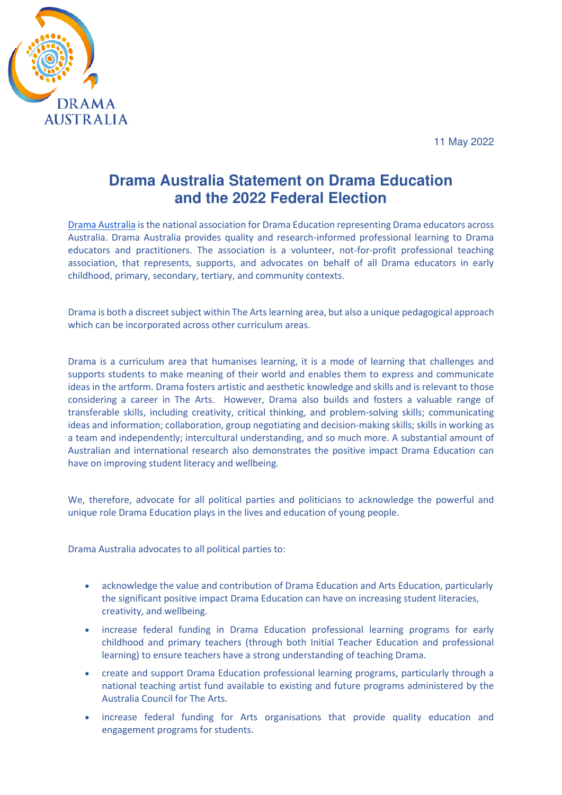

## **Drama Australia Statement on Drama Education and the 2022 Federal Election**

[Drama Australia](https://dramaaustralia.org.au/) is the national association for Drama Education representing Drama educators across Australia. Drama Australia provides quality and research-informed professional learning to Drama educators and practitioners. The association is a volunteer, not-for-profit professional teaching association, that represents, supports, and advocates on behalf of all Drama educators in early childhood, primary, secondary, tertiary, and community contexts.

Drama is both a discreet subject within The Arts learning area, but also a unique pedagogical approach which can be incorporated across other curriculum areas.

Drama is a curriculum area that humanises learning, it is a mode of learning that challenges and supports students to make meaning of their world and enables them to express and communicate ideas in the artform. Drama fosters artistic and aesthetic knowledge and skills and is relevant to those considering a career in The Arts. However, Drama also builds and fosters a valuable range of transferable skills, including creativity, critical thinking, and problem-solving skills; communicating ideas and information; collaboration, group negotiating and decision-making skills; skills in working as a team and independently; intercultural understanding, and so much more. A substantial amount of Australian and international research also demonstrates the positive impact Drama Education can have on improving student literacy and wellbeing.

We, therefore, advocate for all political parties and politicians to acknowledge the powerful and unique role Drama Education plays in the lives and education of young people.

Drama Australia advocates to all political parties to:

- acknowledge the value and contribution of Drama Education and Arts Education, particularly the significant positive impact Drama Education can have on increasing student literacies, creativity, and wellbeing.
- increase federal funding in Drama Education professional learning programs for early childhood and primary teachers (through both Initial Teacher Education and professional learning) to ensure teachers have a strong understanding of teaching Drama.
- create and support Drama Education professional learning programs, particularly through a national teaching artist fund available to existing and future programs administered by the Australia Council for The Arts.
- increase federal funding for Arts organisations that provide quality education and engagement programs for students.